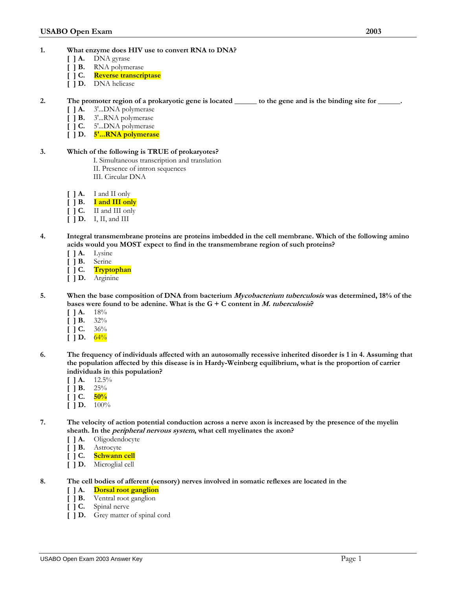- **1. What enzyme does HIV use to convert RNA to DNA?** 
	- **[ ] A.** DNA gyrase
	- **[ ] B.** RNA polymerase
	- **[ ] C. Reverse transcriptase**
	- **[ ] D.** DNA helicase
- **2. The promoter region of a prokaryotic gene is located \_\_\_\_\_\_ to the gene and is the binding site for \_\_\_\_\_\_.** 
	-
	- [ ] **A.** 3'...DNA polymerase<br>[ ] **B.** 3'...RNA polymerase **[ ] B.** 3'...RNA polymerase
	- **[ ] C.** 5'...DNA polymerase
	- **[ ] D. 5'...RNA polymerase**

# **3. Which of the following is TRUE of prokaryotes?**

- I. Simultaneous transcription and translation
- II. Presence of intron sequences
- III. Circular DNA
- **[ ] A.** I and II only
- **[ ] B. I and III only**
- **[ ] C.** II and III only
- **[ ] D.** I, II, and III
- **4. Integral transmembrane proteins are proteins imbedded in the cell membrane. Which of the following amino acids would you MOST expect to find in the transmembrane region of such proteins?** 
	- **[ ] A.** Lysine
	- **[ ] B.** Serine<br>**[ ] C.** Trypte
	- **[ ] C. Tryptophan**
	- **[ ] D.** Arginine
- **5. When the base composition of DNA from bacterium Mycobacterium tuberculosis was determined, 18% of the bases were found to be adenine. What is the G + C content in M. tuberculosis?** 
	- $[$  **1A.**  $18\%$
	- **[ ] B.** 32%
	- **[ ] C.** 36%
	- $[$  | D.  $64\%$
- **6. The frequency of individuals affected with an autosomally recessive inherited disorder is 1 in 4. Assuming that the population affected by this disease is in Hardy-Weinberg equilibrium, what is the proportion of carrier individuals in this population?** 
	- $\blacksquare$  **] A.** 12.5%
	- $[$  | **B.** 25%
	- $[$   $]$  C.  $\frac{50\%}{6}$
	- $[$  **] D.**  $\overline{100\%}$
- **7. The velocity of action potential conduction across a nerve axon is increased by the presence of the myelin sheath. In the peripheral nervous system, what cell myelinates the axon?** 
	- **[ ] A.** Oligodendocyte
	- **[ ] B.** Astrocyte
	- **[ ] C. Schwann cell**
	- **[ ] D.** Microglial cell
- **8. The cell bodies of afferent (sensory) nerves involved in somatic reflexes are located in the** 
	- **[ ] A. Dorsal root ganglion** 
		- **[ ] B.** Ventral root ganglion
	- **[ ] C.** Spinal nerve
	- **[ ] D.** Grey matter of spinal cord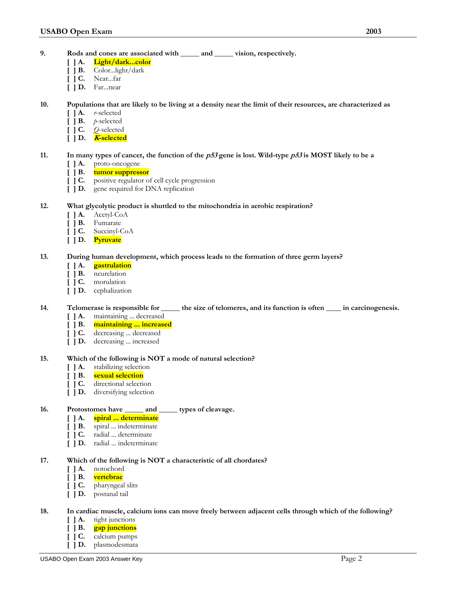- **9. Rods and cones are associated with \_\_\_\_\_ and \_\_\_\_\_ vision, respectively.** 
	- **[ ] A. Light/dark...color**
	- **[ ] B.** Color...light/dark
	- **[ ] C.** Near...far
	- **[ ] D.** Far...near

## **10. Populations that are likely to be living at a density near the limit of their resources, are characterized as**

- **[ ] A.** *r*-selected
- **[ ] B.** *p*-selected
- **[ ] C.** *Q*-selected
- **[ ] D. <sup>K</sup>-selected**

# **11.** In many types of cancer, the function of the  $p53$  gene is lost. Wild-type  $p53$  is MOST likely to be a

- [ ] **A.** proto-oncogene <br>[ ] **B.** tumor suppress
- **[ ] B. tumor suppressor**
- **[ ] C.** positive regulator of cell cycle progression
- **[ ] D.** gene required for DNA replication

### **12. What glycolytic product is shuttled to the mitochondria in aerobic respiration?**

- **[ ] A.** Acetyl-CoA
- **[ ] B.** Fumarate
- **[ ] C.** Succinyl-CoA
- **[ ] D. Pyruvate**

### **13. During human development, which process leads to the formation of three germ layers?**

- **[ ] A. gastrulation**
- **[ ] B.** neurelation
- **[ ] C.** morulation
- **[ ] D.** cephalization

# **14. Telomerase is responsible for \_\_\_\_\_ the size of telomeres, and its function is often \_\_\_\_ in carcinogenesis.**

- **[ ] A.** maintaining ... decreased
- **[ ] B. maintaining ... increased**
- **[ ] C.** decreasing ... decreased
- **[ ] D.** decreasing ... increased

#### **15. Which of the following is NOT a mode of natural selection?**

- **[ ] A.** stabilizing selection
- **[ ] B. sexual selection**
- **[ ] C.** directional selection
- **[ ] D.** diversifying selection

# **16. Protostomes have \_\_\_\_\_ and \_\_\_\_\_ types of cleavage.**

- **[ ] A. spiral ... determinate**
- **[ ] B.** spiral ... indeterminate
- **[ ] C.** radial ... determinate
- **[ ] D.** radial ... indeterminate

#### **17. Which of the following is NOT a characteristic of all chordates?**

- **[ ] A.** notochord
- **[ ] B. vertebrae**
- **[ ] C.** pharyngeal slits
- **[ ] D.** postanal tail

# **18. In cardiac muscle, calcium ions can move freely between adjacent cells through which of the following?**

- [ ] **A.** tight junctions <br>[ ] **B.** gap junctions
	- **[ ] B. gap junctions**
- **[ ] C.** calcium pumps
- **[ ] D.** plasmodesmata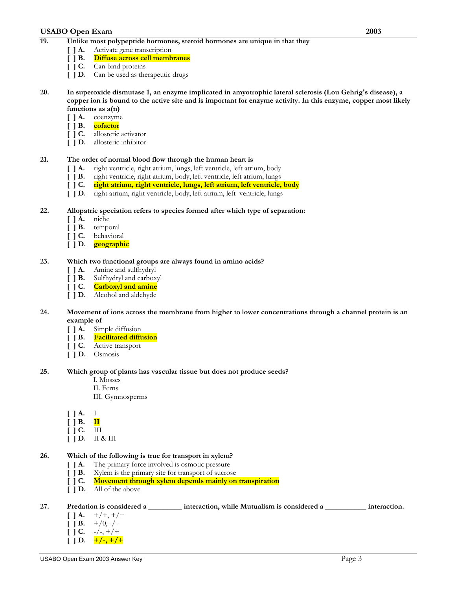# **USABO Open Exam 2003**

- **19. Unlike most polypeptide hormones, steroid hormones are unique in that they** 
	-
	- [ ] **A.** Activate gene transcription<br>[ ] **B.** Diffuse across cell memb **[ ] B. Diffuse across cell membranes**
	- **[ ] C.** Can bind proteins
	- **[ ] D.** Can be used as therapeutic drugs
- **20. In superoxide dismutase 1, an enzyme implicated in amyotrophic lateral sclerosis (Lou Gehrig's disease), a copper ion is bound to the active site and is important for enzyme activity. In this enzyme, copper most likely functions as a(n)** 
	-
	- [ ] **A.** coenzyme<br>[ ] **B.** cofactor **[ ] B. cofactor**
	- **[ ] C.** allosteric activator
	- **[ ] D.** allosteric inhibitor

# **21. The order of normal blood flow through the human heart is**

- **[ ] A.** right ventricle, right atrium, lungs, left ventricle, left atrium, body
- **[ ] B.** right ventricle, right atrium, body, left ventricle, left atrium, lungs
- **[ ] C. right atrium, right ventricle, lungs, left atrium, left ventricle, body**
- **[ ] D.** right atrium, right ventricle, body, left atrium, left ventricle, lungs

### **22. Allopatric speciation refers to species formed after which type of separation:**

- **[ ] A.** niche
- 
- [ ] **B.** temporal<br>[ ] **C.** behavioral **[ ] C.** behavioral
- **[ ] D. geographic**

### **23. Which two functional groups are always found in amino acids?**

- 
- **[ ] A.** Amine and sulfhydryl **[ ] B.** Sulfhydryl and carboxyl
- **[ ] C. Carboxyl and amine**
- **[ ] D.** Alcohol and aldehyde

### **24. Movement of ions across the membrane from higher to lower concentrations through a channel protein is an example of**

- **[ ] A.** Simple diffusion
- **[ ] B. Facilitated diffusion**
- **[ ] C.** Active transport
- **[ ] D.** Osmosis

#### **25. Which group of plants has vascular tissue but does not produce seeds?**

- I. Mosses
- II. Ferns
- III. Gymnosperms
- **[ ] A.** I
- $\begin{bmatrix} \end{bmatrix}$  **B.**  $\begin{bmatrix} \mathbf{II} \end{bmatrix}$
- **[ ] C.** III
- **[ ] D.** II & III

# **26. Which of the following is true for transport in xylem?**

- **[ ] A.** The primary force involved is osmotic pressure
- **[ ] B.** Xylem is the primary site for transport of sucrose
- **[ ] C. Movement through xylem depends mainly on transpiration**
- **[ ] D.** All of the above

#### **27. Predation is considered a \_\_\_\_\_\_\_\_\_ interaction, while Mutualism is considered a \_\_\_\_\_\_\_\_\_\_\_ interaction.**

- $[ | A. +/+, +/+$
- $[ ] B. +/0, -/-$
- $[$   $]$  **C.**  $-/-$ ,  $+/-$
- $[ | ] D. \ +/-, +/+$